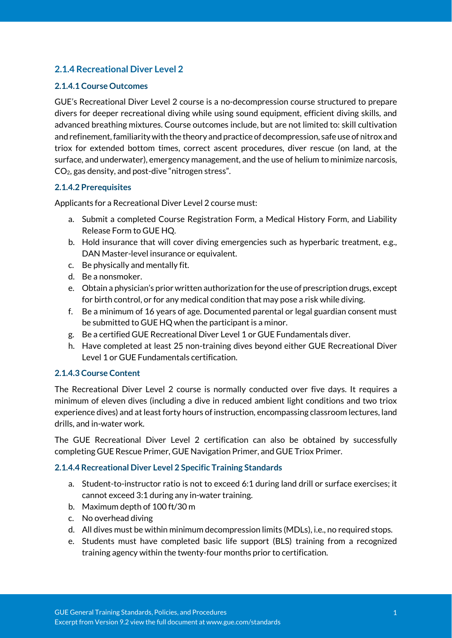# **2.1.4 Recreational Diver Level 2**

#### **2.1.4.1 Course Outcomes**

GUE's Recreational Diver Level 2 course is a no-decompression course structured to prepare divers for deeper recreational diving while using sound equipment, efficient diving skills, and advanced breathing mixtures. Course outcomes include, but are not limited to: skill cultivation and refinement, familiarity with the theory and practice of decompression, safe use of nitrox and triox for extended bottom times, correct ascent procedures, diver rescue (on land, at the surface, and underwater), emergency management, and the use of helium to minimize narcosis, CO2, gas density, and post-dive "nitrogen stress".

#### **2.1.4.2 Prerequisites**

Applicants for a Recreational Diver Level 2 course must:

- a. Submit a completed Course Registration Form, a Medical History Form, and Liability Release Form to GUE HQ.
- b. Hold insurance that will cover diving emergencies such as hyperbaric treatment, e.g., DAN Master-level insurance or equivalent.
- c. Be physically and mentally fit.
- d. Be a nonsmoker.
- e. Obtain a physician's prior written authorization for the use of prescription drugs, except for birth control, or for any medical condition that may pose a risk while diving.
- f. Be a minimum of 16 years of age. Documented parental or legal guardian consent must be submitted to GUE HQ when the participant is a minor.
- g. Be a certified GUE Recreational Diver Level 1 or GUE Fundamentals diver.
- h. Have completed at least 25 non-training dives beyond either GUE Recreational Diver Level 1 or GUE Fundamentals certification.

#### **2.1.4.3 Course Content**

The Recreational Diver Level 2 course is normally conducted over five days. It requires a minimum of eleven dives (including a dive in reduced ambient light conditions and two triox experience dives) and at least forty hours of instruction, encompassing classroom lectures, land drills, and in-water work.

The GUE Recreational Diver Level 2 certification can also be obtained by successfully completing GUE Rescue Primer, GUE Navigation Primer, and GUE Triox Primer.

#### **2.1.4.4 Recreational Diver Level 2 Specific Training Standards**

- a. Student-to-instructor ratio is not to exceed 6:1 during land drill or surface exercises; it cannot exceed 3:1 during any in-water training.
- b. Maximum depth of 100 ft/30 m
- c. No overhead diving
- d. All dives must be within minimum decompression limits (MDLs), i.e., no required stops.
- e. Students must have completed basic life support (BLS) training from a recognized training agency within the twenty-four months prior to certification.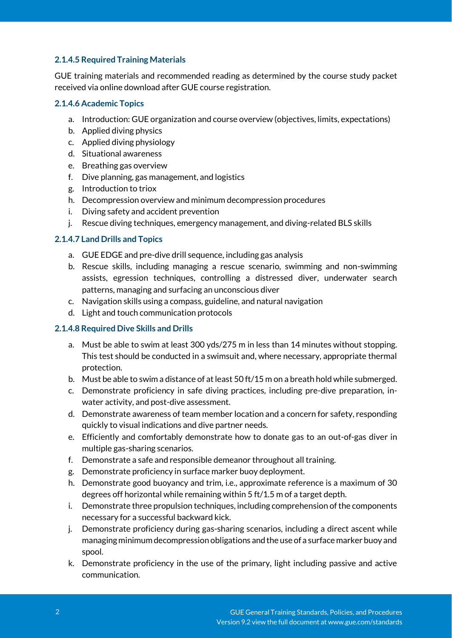## **2.1.4.5 Required Training Materials**

GUE training materials and recommended reading as determined by the course study packet received via online download after GUE course registration.

#### **2.1.4.6 Academic Topics**

- a. Introduction: GUE organization and course overview (objectives, limits, expectations)
- b. Applied diving physics
- c. Applied diving physiology
- d. Situational awareness
- e. Breathing gas overview
- f. Dive planning, gas management, and logistics
- g. Introduction to triox
- h. Decompression overview and minimum decompression procedures
- i. Diving safety and accident prevention
- j. Rescue diving techniques, emergency management, and diving-related BLS skills

#### **2.1.4.7 Land Drills and Topics**

- a. GUE EDGE and pre-dive drill sequence, including gas analysis
- b. Rescue skills, including managing a rescue scenario, swimming and non-swimming assists, egression techniques, controlling a distressed diver, underwater search patterns, managing and surfacing an unconscious diver
- c. Navigation skills using a compass, guideline, and natural navigation
- d. Light and touch communication protocols

#### **2.1.4.8 Required Dive Skills and Drills**

- a. Must be able to swim at least 300 yds/275 m in less than 14 minutes without stopping. This test should be conducted in a swimsuit and, where necessary, appropriate thermal protection.
- b. Must be able to swim a distance of at least 50 ft/15 m on a breath hold while submerged.
- c. Demonstrate proficiency in safe diving practices, including pre-dive preparation, inwater activity, and post-dive assessment.
- d. Demonstrate awareness of team member location and a concern for safety, responding quickly to visual indications and dive partner needs.
- e. Efficiently and comfortably demonstrate how to donate gas to an out-of-gas diver in multiple gas-sharing scenarios.
- f. Demonstrate a safe and responsible demeanor throughout all training.
- g. Demonstrate proficiency in surface marker buoy deployment.
- h. Demonstrate good buoyancy and trim, i.e., approximate reference is a maximum of 30 degrees off horizontal while remaining within 5 ft/1.5 m of a target depth.
- i. Demonstrate three propulsion techniques, including comprehension of the components necessary for a successful backward kick.
- j. Demonstrate proficiency during gas-sharing scenarios, including a direct ascent while managing minimum decompression obligations and the use of a surface marker buoy and spool.
- k. Demonstrate proficiency in the use of the primary, light including passive and active communication.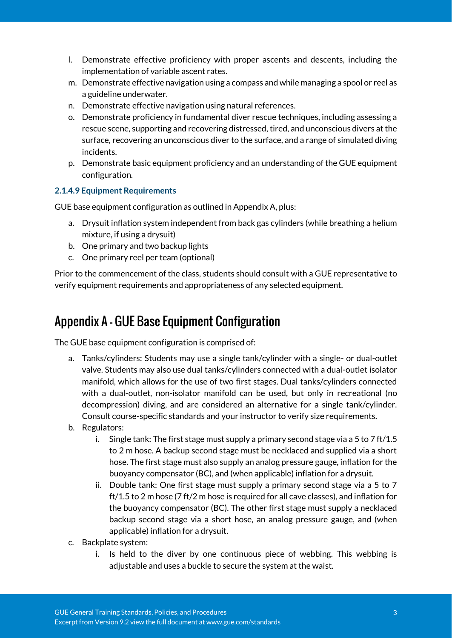- l. Demonstrate effective proficiency with proper ascents and descents, including the implementation of variable ascent rates.
- m. Demonstrate effective navigation using a compass and while managing a spool or reel as a guideline underwater.
- n. Demonstrate effective navigation using natural references.
- o. Demonstrate proficiency in fundamental diver rescue techniques, including assessing a rescue scene, supporting and recovering distressed, tired, and unconscious divers at the surface, recovering an unconscious diver to the surface, and a range of simulated diving incidents.
- p. Demonstrate basic equipment proficiency and an understanding of the GUE equipment configuration.

#### **2.1.4.9 Equipment Requirements**

GUE base equipment configuration as outlined in Appendix A, plus:

- a. Drysuit inflation system independent from back gas cylinders (while breathing a helium mixture, if using a drysuit)
- b. One primary and two backup lights
- c. One primary reel per team (optional)

Prior to the commencement of the class, students should consult with a GUE representative to verify equipment requirements and appropriateness of any selected equipment.

# Appendix A - GUE Base Equipment Configuration

The GUE base equipment configuration is comprised of:

- a. Tanks/cylinders: Students may use a single tank/cylinder with a single- or dual-outlet valve. Students may also use dual tanks/cylinders connected with a dual-outlet isolator manifold, which allows for the use of two first stages. Dual tanks/cylinders connected with a dual-outlet, non-isolator manifold can be used, but only in recreational (no decompression) diving, and are considered an alternative for a single tank/cylinder. Consult course-specific standards and your instructor to verify size requirements.
- b. Regulators:
	- i. Single tank: The first stage must supply a primary second stage via a 5 to 7 ft/1.5 to 2 m hose. A backup second stage must be necklaced and supplied via a short hose. The first stage must also supply an analog pressure gauge, inflation for the buoyancy compensator (BC), and (when applicable) inflation for a drysuit.
	- ii. Double tank: One first stage must supply a primary second stage via a 5 to 7 ft/1.5 to 2 m hose (7 ft/2 m hose is required for all cave classes), and inflation for the buoyancy compensator (BC). The other first stage must supply a necklaced backup second stage via a short hose, an analog pressure gauge, and (when applicable) inflation for a drysuit.
- c. Backplate system:
	- i. Is held to the diver by one continuous piece of webbing. This webbing is adjustable and uses a buckle to secure the system at the waist.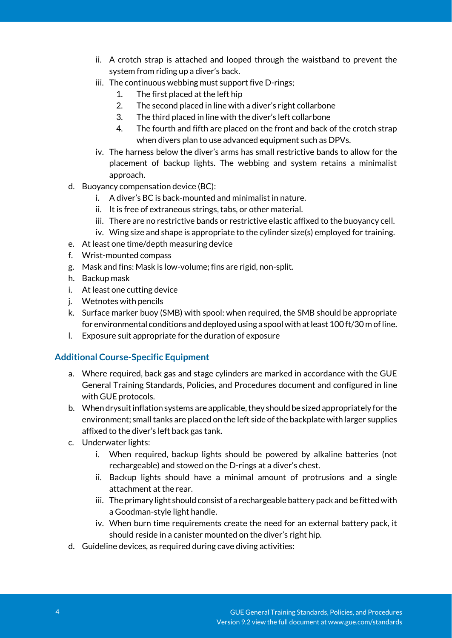- ii. A crotch strap is attached and looped through the waistband to prevent the system from riding up a diver's back.
- iii. The continuous webbing must support five D-rings;
	- 1. The first placed at the left hip
	- 2. The second placed in line with a diver's right collarbone
	- 3. The third placed in line with the diver's left collarbone
	- 4. The fourth and fifth are placed on the front and back of the crotch strap when divers plan to use advanced equipment such as DPVs.
- iv. The harness below the diver's arms has small restrictive bands to allow for the placement of backup lights. The webbing and system retains a minimalist approach.
- d. Buoyancy compensation device (BC):
	- i. A diver's BC is back-mounted and minimalist in nature.
	- ii. It is free of extraneous strings, tabs, or other material.
	- iii. There are no restrictive bands or restrictive elastic affixed to the buoyancy cell.
	- iv. Wing size and shape is appropriate to the cylinder size(s) employed for training.
- e. At least one time/depth measuring device
- f. Wrist-mounted compass
- g. Mask and fins: Mask is low-volume; fins are rigid, non-split.
- h. Backup mask
- i. At least one cutting device
- j. Wetnotes with pencils
- k. Surface marker buoy (SMB) with spool: when required, the SMB should be appropriate for environmental conditions and deployed using a spool with at least 100 ft/30 m of line.
- l. Exposure suit appropriate for the duration of exposure

## **Additional Course-Specific Equipment**

- a. Where required, back gas and stage cylinders are marked in accordance with the GUE General Training Standards, Policies, and Procedures document and configured in line with GUE protocols.
- b. When drysuit inflation systems are applicable, they should be sized appropriately for the environment; small tanks are placed on the left side of the backplate with larger supplies affixed to the diver's left back gas tank.
- c. Underwater lights:
	- i. When required, backup lights should be powered by alkaline batteries (not rechargeable) and stowed on the D-rings at a diver's chest.
	- ii. Backup lights should have a minimal amount of protrusions and a single attachment at the rear.
	- iii. The primary light should consist of a rechargeable battery pack and be fitted with a Goodman-style light handle.
	- iv. When burn time requirements create the need for an external battery pack, it should reside in a canister mounted on the diver's right hip.
- d. Guideline devices, as required during cave diving activities: